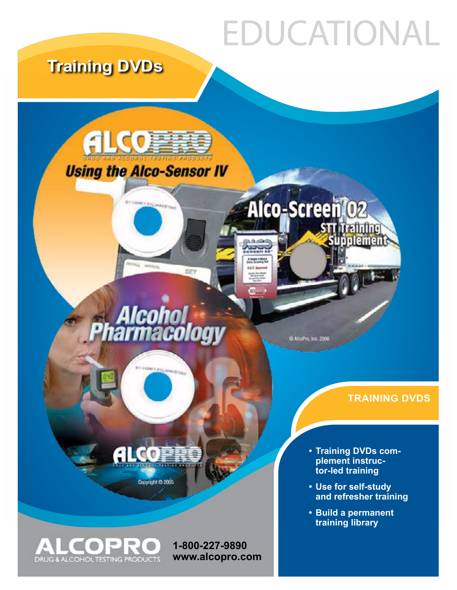# EDUCATIONAL

## **Training DVDs**





**ALCOPR** 

Copyright @ 2005

*<u>STERROSTER</u>* 

**FLARAGETION** 

SET

C AlcoPro, Inc. 2006

Alco-ScreenT02

#### **TRAINING DVDS**

**• Training DVDs complement instructor-led training**

u prefinfing<br>subpléments

- **• Use for self-study and refresher training**
- **• Build a permanent training library**



**1-800-227-9890 [www.alcopro.com](http://alcopro.com)**